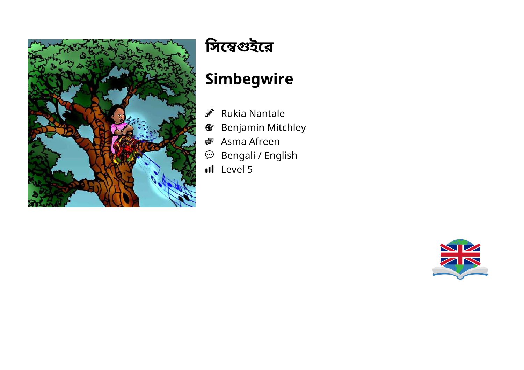

# **িসেইের**

## **Simbegwire**

- Rukia Nantale  $\label{eq:1} \begin{picture}(20,20)(0,0) \put(0,0){\line(1,0){10}} \put(15,0){\line(1,0){10}} \put(25,0){\line(1,0){10}} \put(25,0){\line(1,0){10}} \put(25,0){\line(1,0){10}} \put(25,0){\line(1,0){10}} \put(25,0){\line(1,0){10}} \put(25,0){\line(1,0){10}} \put(25,0){\line(1,0){10}} \put(25,0){\line(1,0){10}} \put(25,0){\line(1,0){10}} \$
- Benjamin Mitchley  $\mathcal{L}$
- Asma Afreen 嚠
- $\mathfrak{D}$  Bengali / English
- Il Level 5

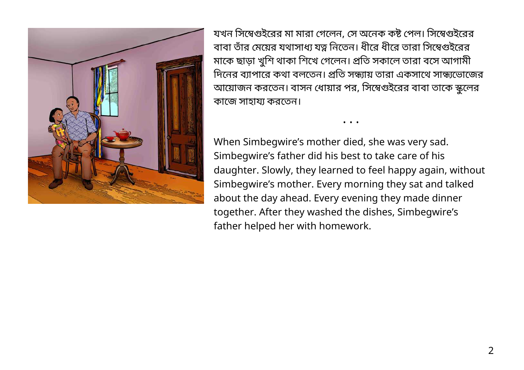

যখন সিম্বেগুইরের মা মারা গেলেন, সে অনেক কষ্ট পেল। সিম্বেগুইরের বাবা তাঁর মেয়ের যথাসাধ্য যত্ন নিতেন। ধীরে ধীরে তারা সিম্বেগুইরের মাকে ছাড়া খুশি থাকা শিখে গেলেন। প্রতি সকালে তারা বসে আগামী দিনের ব্যাপারে কথা বলতেন। প্রতি সন্ধ্যায় তারা একসাথে সান্ধ্যভোজের আয়ােজন করতেন। বাসন ধােয়ার পর, সিম্বেগুইরের বাবা তাকে স্কুলের কাজে সাহায্য করতেন।

When Simbegwire's mother died, she was very sad. Simbegwire's father did his best to take care of his daughter. Slowly, they learned to feel happy again, without Simbegwire's mother. Every morning they sat and talked about the day ahead. Every evening they made dinner together. After they washed the dishes, Simbegwire's father helped her with homework.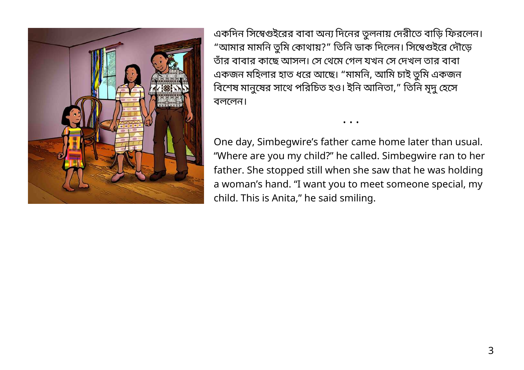

একদিন সিম্বেগুইরের বাবা অন্য দিনের তুলনায় দেরীতে বাড়ি ফিরলেন। "আমার মামনি তুমি কোথায়?" তিনি ডাক দিলেন। সিম্বেগুইরে দৌড়ে তঁার বাবার কােছ আসল। স থেম গল যখন স দখল তার বাবা একজন মহিলার হাত ধরে আছে। "মামনি, আমি চাই তুমি একজন বিশেষ মানুষের সাথে পরিচিত হও। ইনি আনিতা," তিনি মৃদু হেসে বলেলন।

One day, Simbegwire's father came home later than usual. "Where are you my child?" he called. Simbegwire ran to her father. She stopped still when she saw that he was holding a woman's hand. "I want you to meet someone special, my child. This is Anita," he said smiling.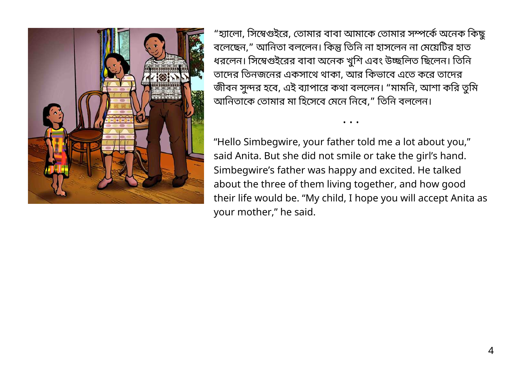

"হ্যালো, সিম্বেগুইরে, তােমার বাবা আমাকে তােমার সম্পর্কে অনেক কিছু বলেছেন," আনিতা বললেন। কিন্তু তিনি না হাসলেন না মেয়েটির হাত ধরলেন। সিম্বেগুইরের বাবা অনেক খুশি এবং উচ্ছলিত ছিলেন। তিনি তাদের তিনজনের একসাথে থাকা, আর কিভাবে এতে করে তাদের জীবন সুন্দর হবে, এই ব্যাপারে কথা বললেন। "মামনি, আশা করি তুমি আনিতাকে তোমার মা হিসেবে মেনে নিবে," তিনি বললেন।

"Hello Simbegwire, your father told me a lot about you," said Anita. But she did not smile or take the girl's hand. Simbegwire's father was happy and excited. He talked about the three of them living together, and how good their life would be. "My child, I hope you will accept Anita as your mother," he said.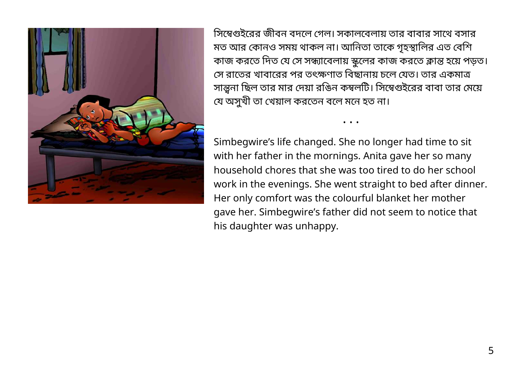

সিম্বেগুইরের জীবন বদলে গেল। সকালবেলায় তার বাবার সাথে বসার মত আর কোনও সময় থাকল না। আনিতা তাকে গৃহস্থালির এত বেশি কাজ করতে দিত যে সে সন্ধ্যাবেলায় স্কুলের কাজ করতে ক্লান্ত হয়ে পড়ত। সে রাতের খাবারের পর তৎক্ষণাত বিছানায় চলে যেত। তার একমাত্র সান্ত্বনা ছিল তার মার দেয়া রঙিন কম্বলটি। সিম্বেগুইরের বাবা তার মেয়ে যে অসুখী তা খেয়াল করতেন বলে মনে হত না।

• • •

Simbegwire's life changed. She no longer had time to sit with her father in the mornings. Anita gave her so many household chores that she was too tired to do her school work in the evenings. She went straight to bed after dinner. Her only comfort was the colourful blanket her mother gave her. Simbegwire's father did not seem to notice that his daughter was unhappy.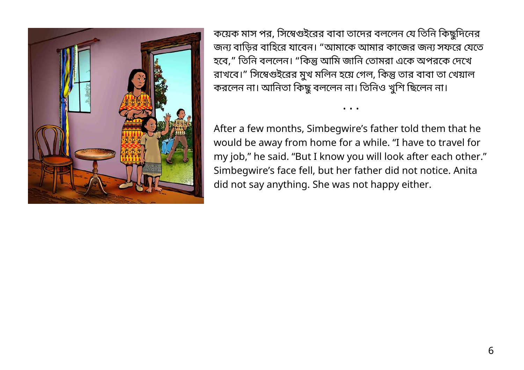

কয়েক মাস পর, সিম্বেগুইরের বাবা তাদের বললেন যে তিনি কিছুদিনের জন্য বাড়ির বাহিরে যাবেন। "আমাকে আমার কাজের জন্য সফরে যেতে হবে," তিনি বললেন। "কিন্তু আমি জানি তোমরা একে অপরকে দেখে রাখবে।" সিম্বেগুইরের মুখ মলিন হয়ে গেল, কিন্তু তার বাবা তা খেয়াল করলেন না। আনিতা কিছু বললেন না। তিনিও খুশি ছিলেন না।

After a few months, Simbegwire's father told them that he would be away from home for a while. "I have to travel for my job," he said. "But I know you will look after each other." Simbegwire's face fell, but her father did not notice. Anita did not say anything. She was not happy either.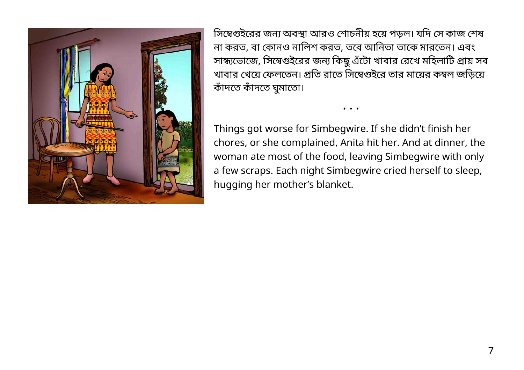

সিম্বেগুইরের জন্য অবস্থা আরও শোচনীয় হয়ে পড়ল। যদি সে কাজ শেষ না করত, বা কানও নািলশ করত, তেব আিনতা তােক মারেতন। এবং সান্ধ্যভোজে, সিম্বেগুইরের জন্য কিছু এঁটো খাবার রেখে মহিলাটি প্রায় সব খাবার খেয়ে ফেলতেন। প্রতি রাতে সিম্বেগুইরে তার মায়ের কম্বল জড়িয়ে কঁাদেত কঁাদেত ঘমুােতা।

• • •

Things got worse for Simbegwire. If she didn't finish her chores, or she complained, Anita hit her. And at dinner, the woman ate most of the food, leaving Simbegwire with only a few scraps. Each night Simbegwire cried herself to sleep, hugging her mother's blanket.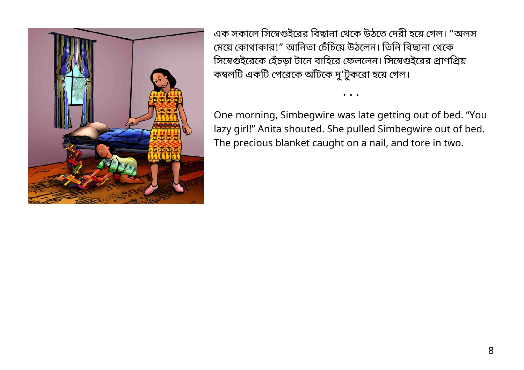

এক সকালে সিম্বেগুইরের বিছানা থেকে উঠতে দেরী হয়ে গেল। "অলস মেয়ে কোথাকার!" আনিতা চেঁচিয়ে উঠলেন। তিনি বিছানা থেকে সিম্বেগুইরেকে হেঁচড়া টানে বাহিরে ফেললেন। সিম্বেগুইরের প্রাণপ্রিয় কম্বলটি একটি পেরেকে আঁটকে দু'টুকরো হয়ে গেল।

One morning, Simbegwire was late getting out of bed. "You lazy girl!" Anita shouted. She pulled Simbegwire out of bed. The precious blanket caught on a nail, and tore in two.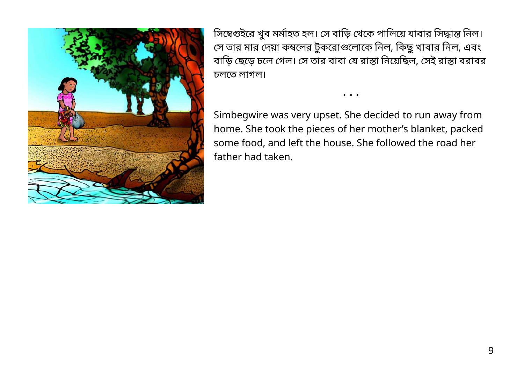

সিম্বেগুইরে খুব মর্মাহত হল। সে বাড়ি থেকে পালিয়ে যাবার সিদ্ধান্ত নিল। সে তার মার দেয়া কম্বলের টুকরোগুলোকে নিল, কিছু খাবার নিল, এবং বাড়ি ছেড়ে চলে গেল। সে তার বাবা যে রাস্তা নিয়েছিল, সেই রাস্তা বরাবর চলেত লাগল।

• • •

Simbegwire was very upset. She decided to run away from home. She took the pieces of her mother's blanket, packed some food, and left the house. She followed the road her father had taken.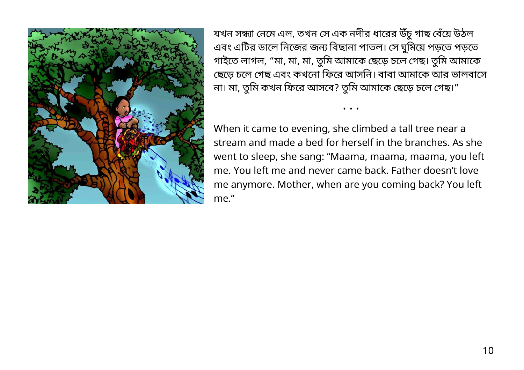

যখন সন্ধ্যা নেমে এল, তখন সে এক নদীর ধারের উঁচু গাছ বেঁয়ে উঠল এবং এটির ডালে নিজের জন্য বিছানা পাতল। সে ঘুমিয়ে পড়তে পড়তে গাইতে লাগল, "মা, মা, মা, তুমি আমাকে ছেড়ে চলে গেছ। তুমি আমাকে ছেড়ে চলে গেছ এবং কখনো ফিরে আসনি। বাবা আমাকে আর ভালবাসে না। মা, তুমি কখন ফিরে আসবে? তুমি আমাকে ছেড়ে চলে গেছ।"

• • •

When it came to evening, she climbed a tall tree near a stream and made a bed for herself in the branches. As she went to sleep, she sang: "Maama, maama, maama, you left me. You left me and never came back. Father doesn't love me anymore. Mother, when are you coming back? You left me."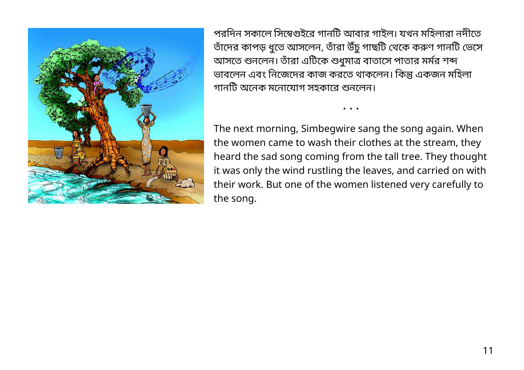

পরদিন সকালে সিম্বেগুইরে গানটি আবার গাইল। যখন মহিলারা নদীতে তাঁদের কাপড় ধুতে আসলেন, তাঁরা উঁচু গাছটি থেকে করুণ গানটি ভেসে আসতে শুনলেন। তাঁরা এটিকে শুধুমাত্র বাতাসে পাতার মর্মর শব্দ ভাবলেন এবং নিজেদের কাজ করতে থাকলেন। কিন্তু একজন মহিলা গানটি অনেক মনোযোগ সহকারে শুনলেন।

• • •

The next morning, Simbegwire sang the song again. When the women came to wash their clothes at the stream, they heard the sad song coming from the tall tree. They thought it was only the wind rustling the leaves, and carried on with their work. But one of the women listened very carefully to the song.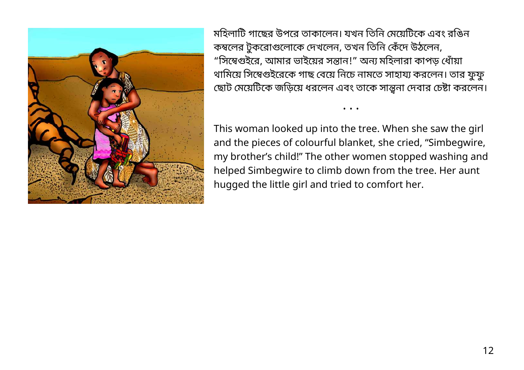

মহিলাটি গাছের উপরে তাকালেন। যখন তিনি মেয়েটিকে এবং রঙিন কম্বলের টুকরোগুলোকে দেখলেন, তখন তিনি কেঁদে উঠলেন, "সিম্বেগুইরে, আমার ভাইয়ের সন্তান!" অন্য মহিলারা কাপড় ধোঁয়া থামিয়ে সিম্বেগুইরেকে গাছ বেয়ে নিচে নামতে সাহায্য করলেন। তার ফুফু ছোট মেয়েটিকে জড়িয়ে ধরলেন এবং তাকে সান্ত্বনা দেবার চেষ্টা করলেন।

This woman looked up into the tree. When she saw the girl and the pieces of colourful blanket, she cried, "Simbegwire, my brother's child!" The other women stopped washing and helped Simbegwire to climb down from the tree. Her aunt hugged the little girl and tried to comfort her.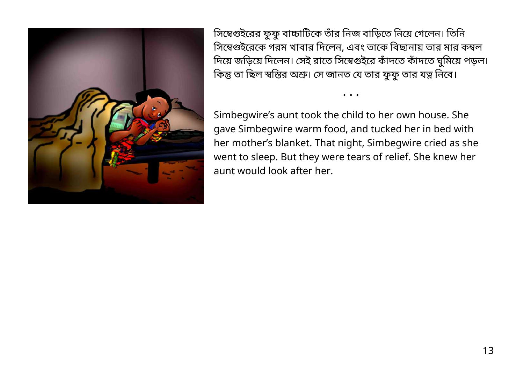

সিম্বেগুইরের ফুফু বাচ্চাটিকে তাঁর নিজ বাড়িতে নিয়ে গেলেন। তিনি সিম্বেগুইরেকে গরম খাবার দিলেন, এবং তাকে বিছানায় তার মার কম্বল দিয়ে জড়িয়ে দিলেন। সেই রাতে সিম্বেগুইরে কাঁদতে কাঁদতে ঘুমিয়ে পড়ল। কিন্তু তা ছিল স্বস্তির অশ্রু। সে জানত যে তার ফুফু তার যত্ন নিবে।

• • •

Simbegwire's aunt took the child to her own house. She gave Simbegwire warm food, and tucked her in bed with her mother's blanket. That night, Simbegwire cried as she went to sleep. But they were tears of relief. She knew her aunt would look after her.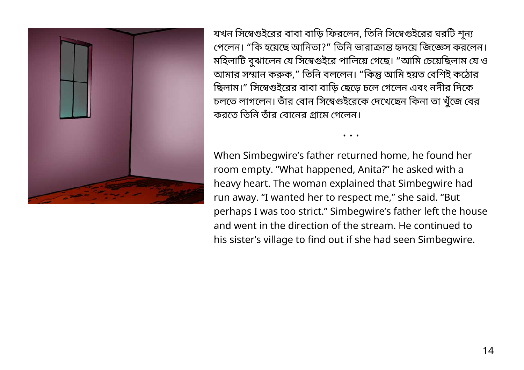

যখন সিম্বেগুইরের বাবা বাড়ি ফিরলেন, তিনি সিম্বেগুইরের ঘরটি শূন্য পেলেন। "কি হয়েছে আনিতা?" তিনি ভারাক্রান্ত হৃদয়ে জিজ্ঞেস করলেন। মহিলাটি বুঝালেন যে সিম্বেগুইরে পালিয়ে গেছে। "আমি চেয়েছিলাম যে ও আমার সম্মান করুক," তিনি বললেন। "কিন্তু আমি হয়ত বেশিই কঠোর ছিলাম।" সিম্বেগুইরের বাবা বাড়ি ছেড়ে চলে গেলেন এবং নদীর দিকে চলতে লাগলেন। তাঁর বোন সিম্বেগুইরেকে দেখেছেন কিনা তা খুঁজে বের করতে তিনি তাঁর বােনের গ্রামে গেলেন।

• • •

When Simbegwire's father returned home, he found her room empty. "What happened, Anita?" he asked with a heavy heart. The woman explained that Simbegwire had run away. "I wanted her to respect me," she said. "But perhaps I was too strict." Simbegwire's father left the house and went in the direction of the stream. He continued to his sister's village to find out if she had seen Simbegwire.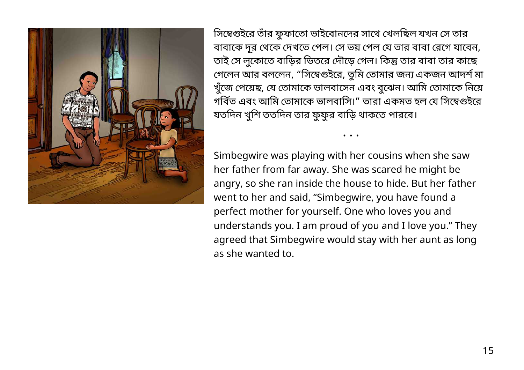

সিম্বেগুইরে তাঁর ফুফাতো ভাইবোনদের সাথে খেলছিল যখন সে তার বাবােক দূর থেক দখেত পল। স ভয় পল য তার বাবা রেগ যােবন, তাই সে লুকোতে বাড়ির ভিতরে দৌড়ে গেল। কিন্তু তার বাবা তার কাছে গেলেন আর বললেন, "সিম্বেগুইরে, তুমি তোমার জন্য একজন আদশ মা খুঁজে পেয়েছ, যে তােমাকে ভালবাসেন এবং বুঝেন। আমি তােমাকে নিয়ে গবিত এবং আমি তোমাকে ভালবাসি।" তারা একমত হল যে সিম্বেগুইরে যতদিন খুশি ততদিন তার ফুফুর বাড়ি থাকতে পারবে।

• • •

Simbegwire was playing with her cousins when she saw her father from far away. She was scared he might be angry, so she ran inside the house to hide. But her father went to her and said, "Simbegwire, you have found a perfect mother for yourself. One who loves you and understands you. I am proud of you and I love you." They agreed that Simbegwire would stay with her aunt as long as she wanted to.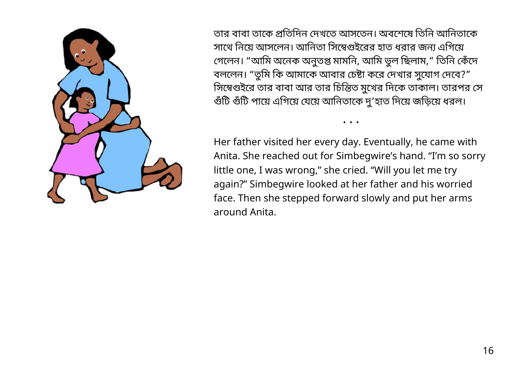

তার বাবা তাকে প্রতিদিন দেখতে আসতেন। অবশেষে তিনি আনিতাকে সাথে নিয়ে আসলেন। আনিতা সিম্বেগুইরের হাত ধরার জন্য এগিয়ে গেলেন। "আমি অনেক অনুতপ্ত মামনি, আমি ভুল ছিলাম," তিনি কেঁদে বললেন। "তুমি কি আমাকে আবার চেষ্টা করে দেখার সুযোগ দেবে?" সিম্বেগুইরে তার বাবা আর তার চিন্তিত মুখের দিকে তাকাল। তারপর সে গুঁটি গুঁটি পায়ে এগিয়ে যেয়ে আনিতাকে দু'হাত দিয়ে জড়িয়ে ধরল।

Her father visited her every day. Eventually, he came with Anita. She reached out for Simbegwire's hand. "I'm so sorry little one, I was wrong," she cried. "Will you let me try again?" Simbegwire looked at her father and his worried face. Then she stepped forward slowly and put her arms around Anita.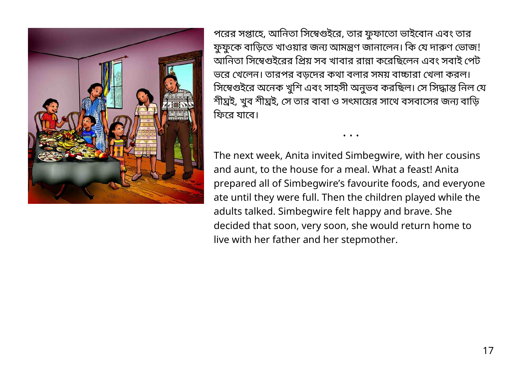

পরের সপ্তাহে, আনিতা সিম্বেগুইরে, তার ফুফাতো ভাইবোন এবং তার ফুফুকে বাড়িতে খাওয়ার জন্য আমন্ত্রণ জানালেন। কি যে দারুণ ভোজ! আনিতা সিম্বেগুইরের প্রিয় সব খাবার রান্না করেছিলেন এবং সবাই পেট ভরে খেলেন। তারপর বডদের কথা বলার সময় বাচ্চারা খেলা করল। সিম্বেগুইরে অনেক খুশি এবং সাহসী অনুভব করছিল। সে সিদ্ধান্ত নিল যে শীঘ্রই, খুব শীঘ্রই, সে তার বাবা ও সৎমায়ের সাথে বসবাসের জন্য বাড়ি ফিরে যাবে।

The next week, Anita invited Simbegwire, with her cousins and aunt, to the house for a meal. What a feast! Anita prepared all of Simbegwire's favourite foods, and everyone ate until they were full. Then the children played while the adults talked. Simbegwire felt happy and brave. She decided that soon, very soon, she would return home to live with her father and her stepmother.